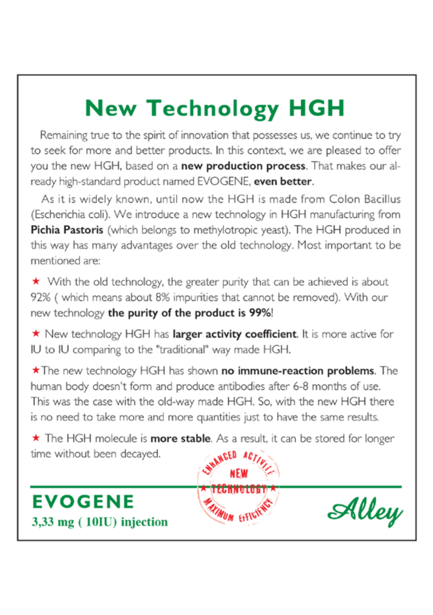# **New Technology HGH**

Remaining true to the spirit of innovation that possesses us, we continue to try to seek for more and better products. In this context, we are pleased to offer you the new HGH, based on a new production process. That makes our already high-standard product named EVOGENE, even better.

As it is widely known, until now the HGH is made from Colon Bacillus (Escherichia coli). We introduce a new technology in HGH manufacturing from Pichia Pastoris (which belongs to methylotropic yeast). The HGH produced in this way has many advantages over the old technology. Most important to be mentioned are:

★ With the old technology, the greater purity that can be achieved is about 92% (which means about 8% impurities that cannot be removed). With our new technology the purity of the product is 99%!

\* New technology HGH has larger activity coefficient. It is more active for IU to IU comparing to the "traditional" way made HGH.

\*The new technology HGH has shown no immune-reaction problems. The human body doesn't form and produce antibodies after 6-8 months of use. This was the case with the old-way made HGH. So, with the new HGH there is no need to take more and more quantities just to have the same results.

\* The HGH molecule is more stable. As a result, it can be stored for longer time without been decayed. **ACED** 

,,,,,,,,,,

UM FFFV



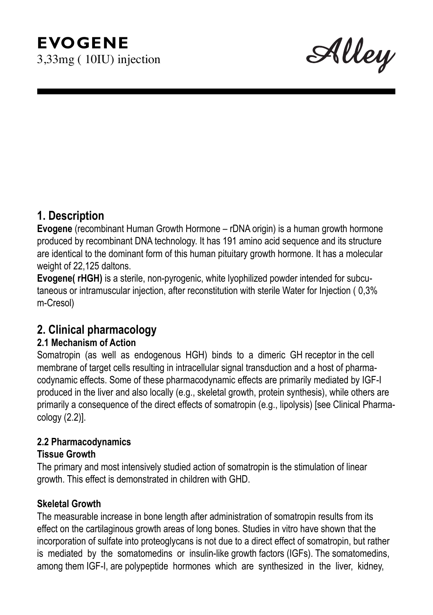## **EVOGENE** 3,33mg ( 10IU) injection

Alley

## **1. Description**

**Evogene** (recombinant Human Growth Hormone – rDNA origin) is a human growth hormone produced by recombinant DNA technology. It has 191 amino acid sequence and its structure are identical to the dominant form of this human pituitary growth hormone. It has a molecular weight of 22,125 daltons.

**Evogene( rHGH)** is a sterile, non-pyrogenic, white lyophilized powder intended for subcutaneous or intramuscular injection, after reconstitution with sterile Water for Injection ( 0,3% m-Cresol)

## **2. Clinical pharmacology**

#### **2.1 Mechanism of Action**

Somatropin (as well as endogenous HGH) binds to a dimeric GH receptor in the cell membrane of target cells resulting in intracellular signal transduction and a host of pharmacodynamic effects. Some of these pharmacodynamic effects are primarily mediated by IGF-I produced in the liver and also locally (e.g., skeletal growth, protein synthesis), while others are primarily a consequence of the direct effects of somatropin (e.g., lipolysis) [see Clinical Pharmacology (2.2)].

#### **2.2 Pharmacodynamics**

#### **Tissue Growth**

The primary and most intensively studied action of somatropin is the stimulation of linear growth. This effect is demonstrated in children with GHD.

#### **Skeletal Growth**

The measurable increase in bone length after administration of somatropin results from its effect on the cartilaginous growth areas of long bones. Studies in vitro have shown that the incorporation of sulfate into proteoglycans is not due to a direct effect of somatropin, but rather is mediated by the somatomedins or insulin-like growth factors (IGFs). The somatomedins, among them IGF-I, are polypeptide hormones which are synthesized in the liver, kidney,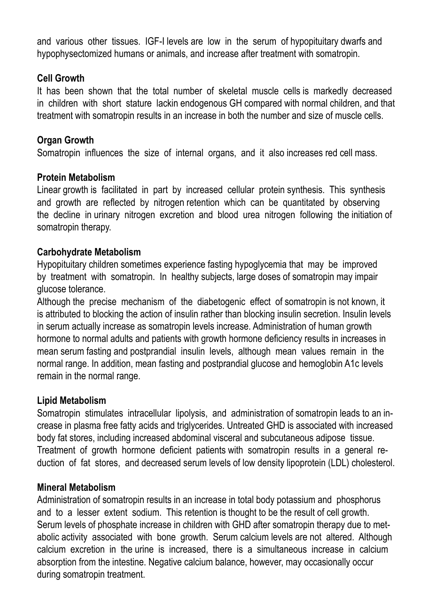and various other tissues. IGF-I levels are low in the serum of hypopituitary dwarfs and hypophysectomized humans or animals, and increase after treatment with somatropin.

#### **Cell Growth**

It has been shown that the total number of skeletal muscle cells is markedly decreased in children with short stature lackin endogenous GH compared with normal children, and that treatment with somatropin results in an increase in both the number and size of muscle cells.

#### **Organ Growth**

Somatropin influences the size of internal organs, and it also increases red cell mass.

#### **Protein Metabolism**

Linear growth is facilitated in part by increased cellular protein synthesis. This synthesis and growth are reflected by nitrogen retention which can be quantitated by observing the decline in urinary nitrogen excretion and blood urea nitrogen following the initiation of somatropin therapy.

#### **Carbohydrate Metabolism**

Hypopituitary children sometimes experience fasting hypoglycemia that may be improved by treatment with somatropin. In healthy subjects, large doses of somatropin may impair glucose tolerance.

Although the precise mechanism of the diabetogenic effect of somatropin is not known, it is attributed to blocking the action of insulin rather than blocking insulin secretion. Insulin levels in serum actually increase as somatropin levels increase. Administration of human growth hormone to normal adults and patients with growth hormone deficiency results in increases in mean serum fasting and postprandial insulin levels, although mean values remain in the normal range. In addition, mean fasting and postprandial glucose and hemoglobin A1c levels remain in the normal range.

#### **Lipid Metabolism**

Somatropin stimulates intracellular lipolysis, and administration of somatropin leads to an increase in plasma free fatty acids and triglycerides. Untreated GHD is associated with increased body fat stores, including increased abdominal visceral and subcutaneous adipose tissue. Treatment of growth hormone deficient patients with somatropin results in a general reduction of fat stores, and decreased serum levels of low density lipoprotein (LDL) cholesterol.

#### **Mineral Metabolism**

Administration of somatropin results in an increase in total body potassium and phosphorus and to a lesser extent sodium. This retention is thought to be the result of cell growth. Serum levels of phosphate increase in children with GHD after somatropin therapy due to metabolic activity associated with bone growth. Serum calcium levels are not altered. Although calcium excretion in the urine is increased, there is a simultaneous increase in calcium absorption from the intestine. Negative calcium balance, however, may occasionally occur during somatropin treatment.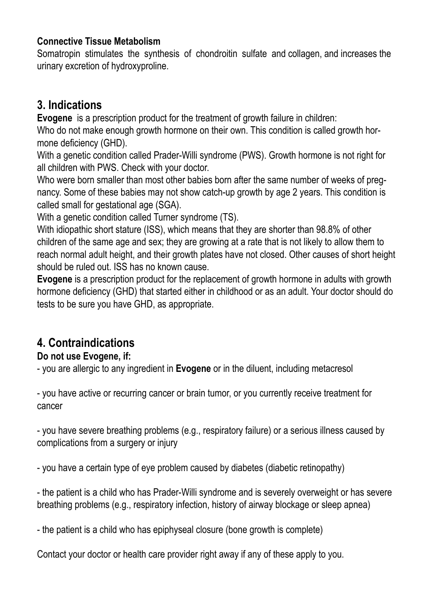#### **Connective Tissue Metabolism**

Somatropin stimulates the synthesis of chondroitin sulfate and collagen, and increases the urinary excretion of hydroxyproline.

## **3. Indications**

**Evogene** is a prescription product for the treatment of growth failure in children:

Who do not make enough growth hormone on their own. This condition is called growth hormone deficiency (GHD).

With a genetic condition called Prader-Willi syndrome (PWS). Growth hormone is not right for all children with PWS. Check with your doctor.

Who were born smaller than most other babies born after the same number of weeks of pregnancy. Some of these babies may not show catch-up growth by age 2 years. This condition is called small for gestational age (SGA).

With a genetic condition called Turner syndrome (TS).

With idiopathic short stature (ISS), which means that they are shorter than 98.8% of other children of the same age and sex; they are growing at a rate that is not likely to allow them to reach normal adult height, and their growth plates have not closed. Other causes of short height should be ruled out. ISS has no known cause.

**Evogene** is a prescription product for the replacement of growth hormone in adults with growth hormone deficiency (GHD) that started either in childhood or as an adult. Your doctor should do tests to be sure you have GHD, as appropriate.

## **4. Contraindications**

#### **Do not use Evogene, if:**

- you are allergic to any ingredient in **Evogene** or in the diluent, including metacresol

- you have active or recurring cancer or brain tumor, or you currently receive treatment for cancer

- you have severe breathing problems (e.g., respiratory failure) or a serious illness caused by complications from a surgery or injury

- you have a certain type of eye problem caused by diabetes (diabetic retinopathy)

- the patient is a child who has Prader-Willi syndrome and is severely overweight or has severe breathing problems (e.g., respiratory infection, history of airway blockage or sleep apnea)

- the patient is a child who has epiphyseal closure (bone growth is complete)

Contact your doctor or health care provider right away if any of these apply to you.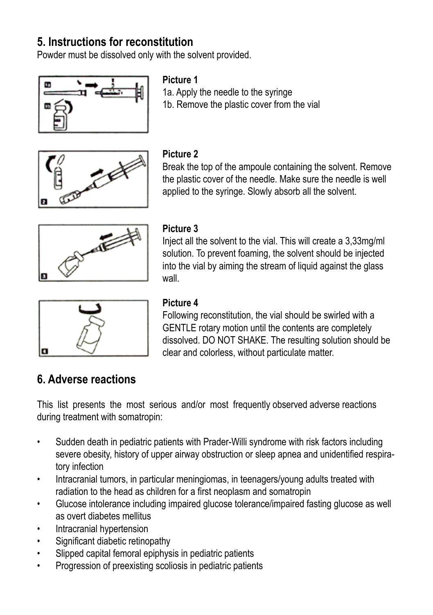## **5. Instructions for reconstitution**

Powder must be dissolved only with the solvent provided.



#### **Picture 1**

1a. Apply the needle to the syringe 1b. Remove the plastic cover from the vial



#### **Picture 2**

Break the top of the ampoule containing the solvent. Remove the plastic cover of the needle. Make sure the needle is well applied to the syringe. Slowly absorb all the solvent.



#### **Picture 3**

Inject all the solvent to the vial. This will create a 3,33mg/ml solution. To prevent foaming, the solvent should be injected into the vial by aiming the stream of liquid against the glass wall



#### **Picture 4**

Following reconstitution, the vial should be swirled with a GENTLE rotary motion until the contents are completely dissolved. DO NOT SHAKE. The resulting solution should be clear and colorless, without particulate matter.

## **6. Adverse reactions**

This list presents the most serious and/or most frequently observed adverse reactions during treatment with somatropin:

- Sudden death in pediatric patients with Prader-Willi syndrome with risk factors including severe obesity, history of upper airway obstruction or sleep apnea and unidentified respiratory infection
- Intracranial tumors, in particular meningiomas, in teenagers/young adults treated with radiation to the head as children for a first neoplasm and somatropin
- Glucose intolerance including impaired glucose tolerance/impaired fasting glucose as well as overt diabetes mellitus
- Intracranial hypertension
- Significant diabetic retinopathy
- Slipped capital femoral epiphysis in pediatric patients
- Progression of preexisting scoliosis in pediatric patients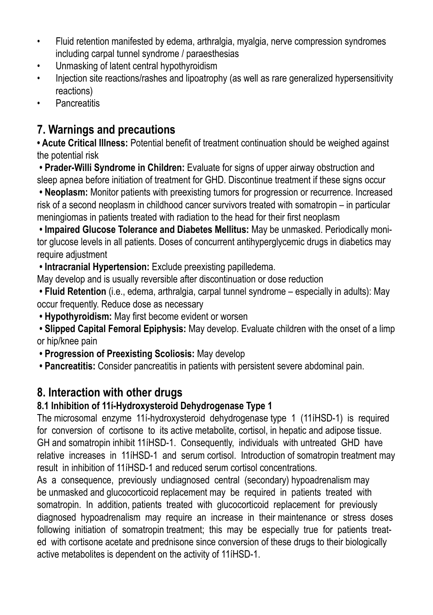- Fluid retention manifested by edema, arthralgia, myalgia, nerve compression syndromes including carpal tunnel syndrome / paraesthesias
- Unmasking of latent central hypothyroidism
- Injection site reactions/rashes and lipoatrophy (as well as rare generalized hypersensitivity reactions)
- Pancreatitis

## **7. Warnings and precautions**

**• Acute Critical Illness:** Potential benefit of treatment continuation should be weighed against the potential risk

 **• Prader-Willi Syndrome in Children:** Evaluate for signs of upper airway obstruction and sleep apnea before initiation of treatment for GHD. Discontinue treatment if these signs occur

 **• Neoplasm:** Monitor patients with preexisting tumors for progression or recurrence. Increased risk of a second neoplasm in childhood cancer survivors treated with somatropin – in particular meningiomas in patients treated with radiation to the head for their first neoplasm

 **• Impaired Glucose Tolerance and Diabetes Mellitus:** May be unmasked. Periodically monitor glucose levels in all patients. Doses of concurrent antihyperglycemic drugs in diabetics may require adjustment

 **• Intracranial Hypertension:** Exclude preexisting papilledema.

May develop and is usually reversible after discontinuation or dose reduction

 **• Fluid Retention** (i.e., edema, arthralgia, carpal tunnel syndrome – especially in adults): May occur frequently. Reduce dose as necessary

 **• Hypothyroidism:** May first become evident or worsen

**• Slipped Capital Femoral Epiphysis:** May develop. Evaluate children with the onset of a limp or hip/knee pain

**• Progression of Preexisting Scoliosis:** May develop

 **• Pancreatitis:** Consider pancreatitis in patients with persistent severe abdominal pain.

## **8. Interaction with other drugs**

## **8.1 Inhibition of 11ί-Hydroxysteroid Dehydrogenase Type 1**

The microsomal enzyme 11ί-hydroxysteroid dehydrogenase type 1 (11ίHSD-1) is required for conversion of cortisone to its active metabolite, cortisol, in hepatic and adipose tissue. GH and somatropin inhibit 11ίHSD-1. Consequently, individuals with untreated GHD have relative increases in 11ίHSD-1 and serum cortisol. Introduction of somatropin treatment may result in inhibition of 11ίHSD-1 and reduced serum cortisol concentrations.

As a consequence, previously undiagnosed central (secondary) hypoadrenalism may be unmasked and glucocorticoid replacement may be required in patients treated with somatropin. In addition patients treated with glucocorticoid replacement for previously diagnosed hypoadrenalism may require an increase in their maintenance or stress doses following initiation of somatropin treatment; this may be especially true for patients treated with cortisone acetate and prednisone since conversion of these drugs to their biologically active metabolites is dependent on the activity of 11ίHSD-1.